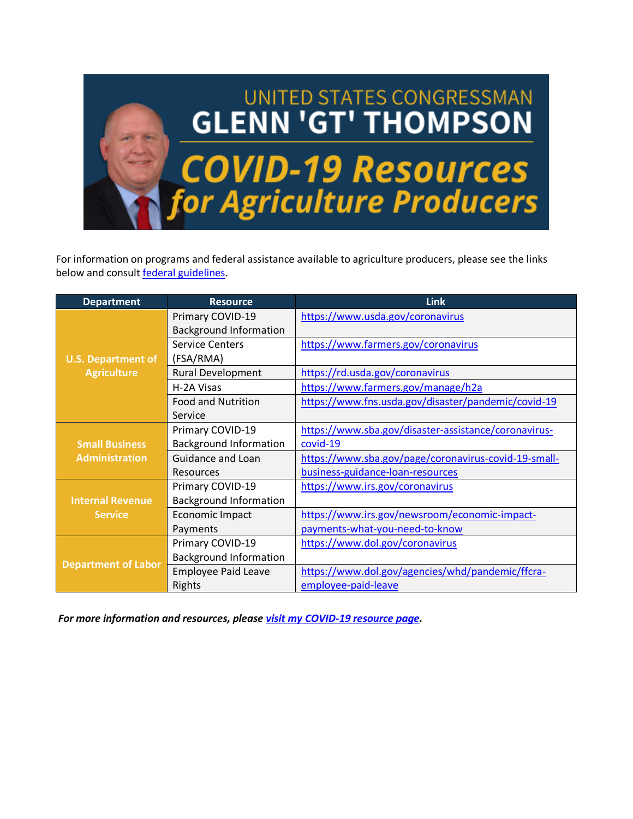

For information on programs and federal assistance available to agriculture producers, please see the links below and consult [federal guidelines.](https://www.coronavirus.gov/)

| <b>Department</b>                               | <b>Resource</b>               | <b>Link</b>                                          |
|-------------------------------------------------|-------------------------------|------------------------------------------------------|
| <b>U.S. Department of</b><br><b>Agriculture</b> | Primary COVID-19              | https://www.usda.gov/coronavirus                     |
|                                                 | <b>Background Information</b> |                                                      |
|                                                 | <b>Service Centers</b>        | https://www.farmers.gov/coronavirus                  |
|                                                 | (FSA/RMA)                     |                                                      |
|                                                 | <b>Rural Development</b>      | https://rd.usda.gov/coronavirus                      |
|                                                 | H-2A Visas                    | https://www.farmers.gov/manage/h2a                   |
|                                                 | <b>Food and Nutrition</b>     | https://www.fns.usda.gov/disaster/pandemic/covid-19  |
|                                                 | Service                       |                                                      |
|                                                 | Primary COVID-19              | https://www.sba.gov/disaster-assistance/coronavirus- |
| <b>Small Business</b><br><b>Administration</b>  | <b>Background Information</b> | covid-19                                             |
|                                                 | Guidance and Loan             | https://www.sba.gov/page/coronavirus-covid-19-small- |
|                                                 | <b>Resources</b>              | business-guidance-loan-resources                     |
|                                                 | Primary COVID-19              | https://www.irs.gov/coronavirus                      |
| <b>Internal Revenue</b>                         | <b>Background Information</b> |                                                      |
| <b>Service</b>                                  | Economic Impact               | https://www.irs.gov/newsroom/economic-impact-        |
|                                                 | Payments                      | payments-what-you-need-to-know                       |
| <b>Department of Labor</b>                      | Primary COVID-19              | https://www.dol.gov/coronavirus                      |
|                                                 | <b>Background Information</b> |                                                      |
|                                                 | <b>Employee Paid Leave</b>    | https://www.dol.gov/agencies/whd/pandemic/ffcra-     |
|                                                 | Rights                        | employee-paid-leave                                  |

*For more information and resources, please [visit my COVID-19 resource page.](https://thompson.house.gov/coronavirus-resources)*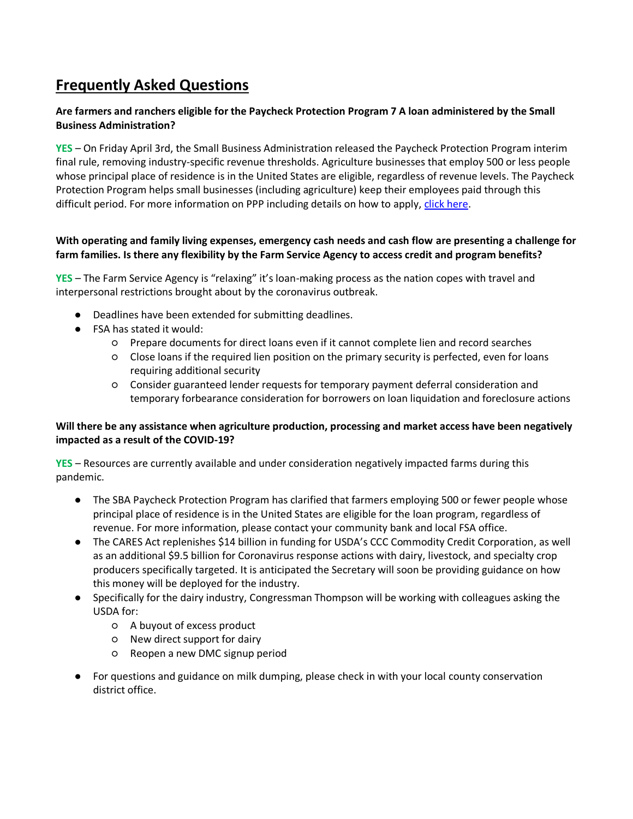# **Frequently Asked Questions**

# **Are farmers and ranchers eligible for the Paycheck Protection Program 7 A loan administered by the Small Business Administration?**

**YES** – On Friday April 3rd, the Small Business Administration released the Paycheck Protection Program interim final rule, removing industry-specific revenue thresholds. Agriculture businesses that employ 500 or less people whose principal place of residence is in the United States are eligible, regardless of revenue levels. The Paycheck Protection Program helps small businesses (including agriculture) keep their employees paid through this difficult period. For more information on PPP including details on how to apply, [click here.](https://www.sba.gov/funding-programs/loans/coronavirus-relief-options/paycheck-protection-program-ppp)

# **With operating and family living expenses, emergency cash needs and cash flow are presenting a challenge for farm families. Is there any flexibility by the Farm Service Agency to access credit and program benefits?**

**YES** – The Farm Service Agency is "relaxing" it's loan-making process as the nation copes with travel and interpersonal restrictions brought about by the coronavirus outbreak.

- Deadlines have been extended for submitting deadlines.
- FSA has stated it would:
	- Prepare documents for direct loans even if it cannot complete lien and record searches
	- Close loans if the required lien position on the primary security is perfected, even for loans requiring additional security
	- Consider guaranteed lender requests for temporary payment deferral consideration and temporary forbearance consideration for borrowers on loan liquidation and foreclosure actions

## **Will there be any assistance when agriculture production, processing and market access have been negatively impacted as a result of the COVID-19?**

**YES** – Resources are currently available and under consideration negatively impacted farms during this pandemic.

- The SBA Paycheck Protection Program has clarified that farmers employing 500 or fewer people whose principal place of residence is in the United States are eligible for the loan program, regardless of revenue. For more information, please contact your community bank and local FSA office.
- The CARES Act replenishes \$14 billion in funding for USDA's CCC Commodity Credit Corporation, as well as an additional \$9.5 billion for Coronavirus response actions with dairy, livestock, and specialty crop producers specifically targeted. It is anticipated the Secretary will soon be providing guidance on how this money will be deployed for the industry.
- Specifically for the dairy industry, Congressman Thompson will be working with colleagues asking the USDA for:
	- A buyout of excess product
	- New direct support for dairy
	- Reopen a new DMC signup period
- For questions and guidance on milk dumping, please check in with your local county conservation district office.